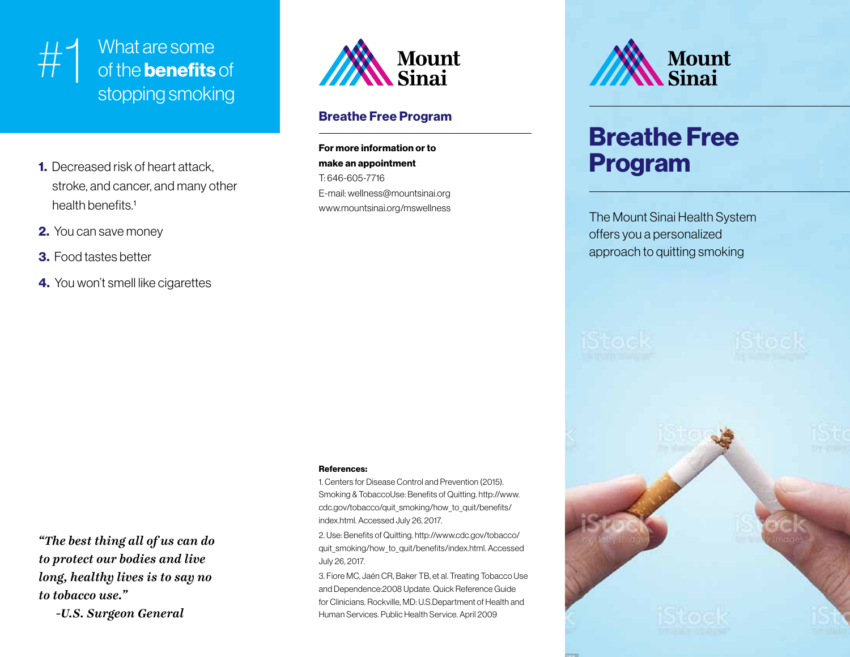

## #1 What are some<br>of the **benefits** of the **benefits** of stopping smoking

- 1. Decreased risk of heart attack, stroke, and cancer, and many other health benefits.<sup>1</sup>
- 2. You can save money
- 3. Food tastes better
- 4. You won't smell like cigarettes

**Mount** Sinai

#### Breathe Free Program

For more information or to make an appointment T: 646-605-7716 E-mail: wellness@mountsinai.org www.mountsinai.org/mswellness

#### References:

1. Centers for Disease Control and Prevention (2015). Smoking & TobaccoUse: Benefits of Quitting. http://www. cdc.gov/tobacco/quit\_smoking/how\_to\_quit/benefits/ index.html. Accessed July 26, 2017.

2. Use: Benefits of Quitting. http://www.cdc.gov/tobacco/ quit\_smoking/how\_to\_quit/benefits/index.html. Accessed July 26, 2017.

3. Fiore MC, Jaén CR, Baker TB, et al. Treating Tobacco Use and Dependence:2008 Update. Quick Reference Guide for Clinicians. Rockville, MD: U.S.Department of Health and Human Services. Public Health Service. April 2009



## Breathe Free Program

The Mount Sinai Health System offers you a personalized approach to quitting smoking



*"The best thing all of us can do to protect our bodies and live long, healthy lives is to say no to tobacco use."*

 *-U.S. Surgeon General*